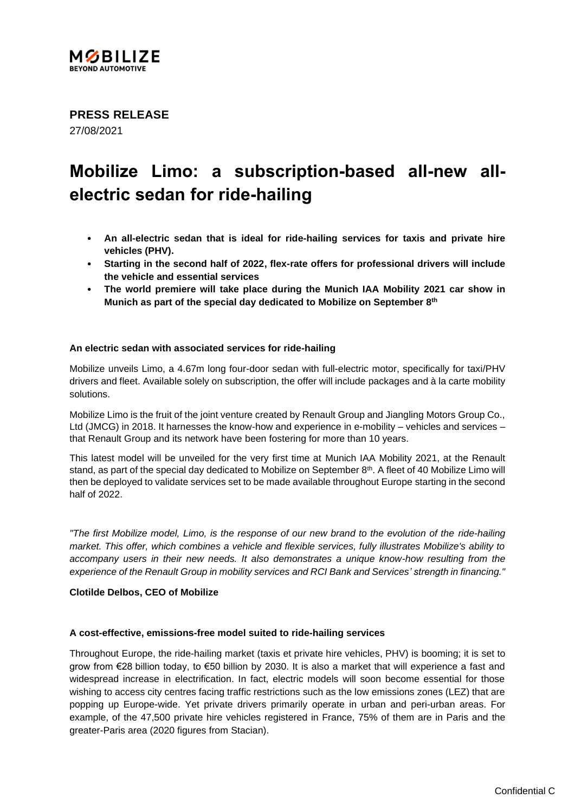

**PRESS RELEASE** 27/08/2021

# **Mobilize Limo: a subscription-based all-new allelectric sedan for ride-hailing**

- **An all-electric sedan that is ideal for ride-hailing services for taxis and private hire vehicles (PHV).**
- **Starting in the second half of 2022, flex-rate offers for professional drivers will include the vehicle and essential services**
- **The world premiere will take place during the Munich IAA Mobility 2021 car show in Munich as part of the special day dedicated to Mobilize on September 8th**

## **An electric sedan with associated services for ride-hailing**

Mobilize unveils Limo, a 4.67m long four-door sedan with full-electric motor, specifically for taxi/PHV drivers and fleet. Available solely on subscription, the offer will include packages and à la carte mobility solutions.

Mobilize Limo is the fruit of the joint venture created by Renault Group and Jiangling Motors Group Co., Ltd (JMCG) in 2018. It harnesses the know-how and experience in e-mobility – vehicles and services – that Renault Group and its network have been fostering for more than 10 years.

This latest model will be unveiled for the very first time at Munich IAA Mobility 2021, at the Renault stand, as part of the special day dedicated to Mobilize on September 8<sup>th</sup>. A fleet of 40 Mobilize Limo will then be deployed to validate services set to be made available throughout Europe starting in the second half of 2022.

*"The first Mobilize model, Limo, is the response of our new brand to the evolution of the ride-hailing market. This offer, which combines a vehicle and flexible services, fully illustrates Mobilize's ability to accompany users in their new needs. It also demonstrates a unique know-how resulting from the experience of the Renault Group in mobility services and RCI Bank and Services' strength in financing."*

## **Clotilde Delbos, CEO of Mobilize**

#### **A cost-effective, emissions-free model suited to ride-hailing services**

Throughout Europe, the ride-hailing market (taxis et private hire vehicles, PHV) is booming; it is set to grow from €28 billion today, to €50 billion by 2030. It is also a market that will experience a fast and widespread increase in electrification. In fact, electric models will soon become essential for those wishing to access city centres facing traffic restrictions such as the low emissions zones (LEZ) that are popping up Europe-wide. Yet private drivers primarily operate in urban and peri-urban areas. For example, of the 47,500 private hire vehicles registered in France, 75% of them are in Paris and the greater-Paris area (2020 figures from Stacian).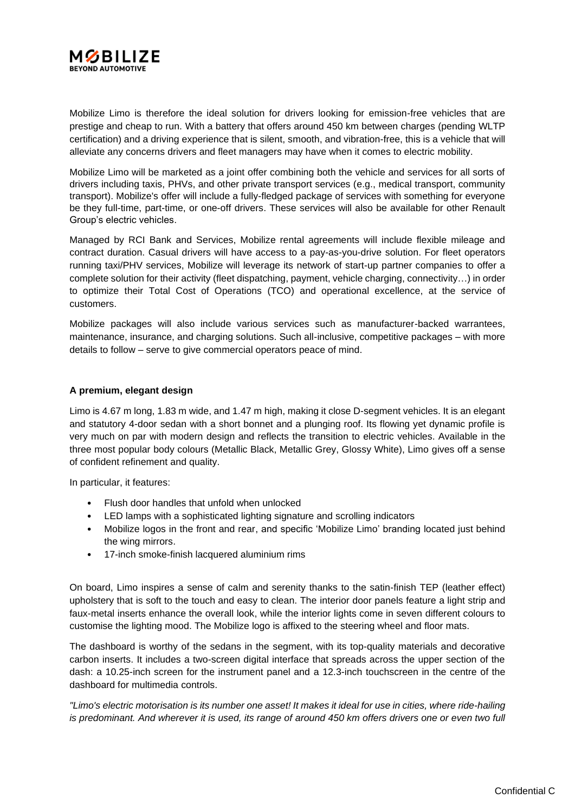

Mobilize Limo is therefore the ideal solution for drivers looking for emission-free vehicles that are prestige and cheap to run. With a battery that offers around 450 km between charges (pending WLTP certification) and a driving experience that is silent, smooth, and vibration-free, this is a vehicle that will alleviate any concerns drivers and fleet managers may have when it comes to electric mobility.

Mobilize Limo will be marketed as a joint offer combining both the vehicle and services for all sorts of drivers including taxis, PHVs, and other private transport services (e.g., medical transport, community transport). Mobilize's offer will include a fully-fledged package of services with something for everyone be they full-time, part-time, or one-off drivers. These services will also be available for other Renault Group's electric vehicles.

Managed by RCI Bank and Services, Mobilize rental agreements will include flexible mileage and contract duration. Casual drivers will have access to a pay-as-you-drive solution. For fleet operators running taxi/PHV services, Mobilize will leverage its network of start-up partner companies to offer a complete solution for their activity (fleet dispatching, payment, vehicle charging, connectivity…) in order to optimize their Total Cost of Operations (TCO) and operational excellence, at the service of customers.

Mobilize packages will also include various services such as manufacturer-backed warrantees, maintenance, insurance, and charging solutions. Such all-inclusive, competitive packages – with more details to follow – serve to give commercial operators peace of mind.

## **A premium, elegant design**

Limo is 4.67 m long, 1.83 m wide, and 1.47 m high, making it close D-segment vehicles. It is an elegant and statutory 4-door sedan with a short bonnet and a plunging roof. Its flowing yet dynamic profile is very much on par with modern design and reflects the transition to electric vehicles. Available in the three most popular body colours (Metallic Black, Metallic Grey, Glossy White), Limo gives off a sense of confident refinement and quality.

In particular, it features:

- Flush door handles that unfold when unlocked
- LED lamps with a sophisticated lighting signature and scrolling indicators
- Mobilize logos in the front and rear, and specific 'Mobilize Limo' branding located just behind the wing mirrors.
- 17-inch smoke-finish lacquered aluminium rims

On board, Limo inspires a sense of calm and serenity thanks to the satin-finish TEP (leather effect) upholstery that is soft to the touch and easy to clean. The interior door panels feature a light strip and faux-metal inserts enhance the overall look, while the interior lights come in seven different colours to customise the lighting mood. The Mobilize logo is affixed to the steering wheel and floor mats.

The dashboard is worthy of the sedans in the segment, with its top-quality materials and decorative carbon inserts. It includes a two-screen digital interface that spreads across the upper section of the dash: a 10.25-inch screen for the instrument panel and a 12.3-inch touchscreen in the centre of the dashboard for multimedia controls.

*"Limo's electric motorisation is its number one asset! It makes it ideal for use in cities, where ride-hailing is predominant. And wherever it is used, its range of around 450 km offers drivers one or even two full*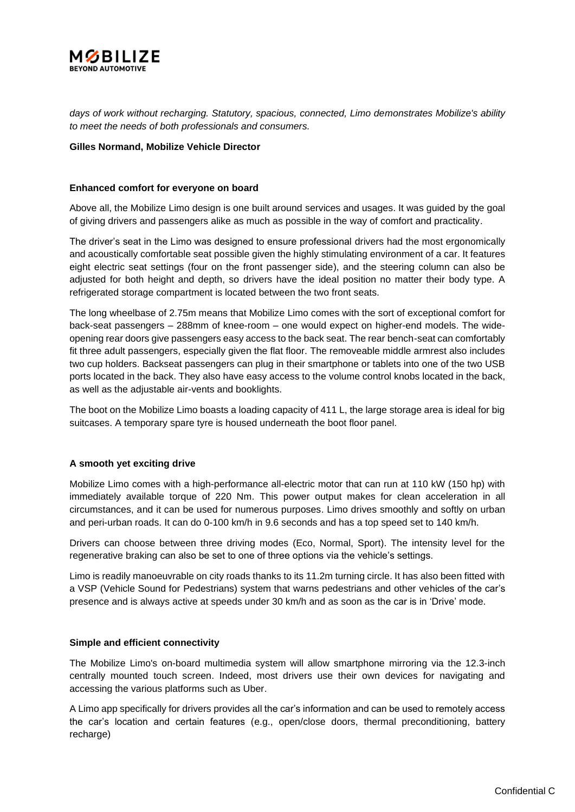

*days of work without recharging. Statutory, spacious, connected, Limo demonstrates Mobilize's ability to meet the needs of both professionals and consumers.*

#### **Gilles Normand, Mobilize Vehicle Director**

#### **Enhanced comfort for everyone on board**

Above all, the Mobilize Limo design is one built around services and usages. It was guided by the goal of giving drivers and passengers alike as much as possible in the way of comfort and practicality.

The driver's seat in the Limo was designed to ensure professional drivers had the most ergonomically and acoustically comfortable seat possible given the highly stimulating environment of a car. It features eight electric seat settings (four on the front passenger side), and the steering column can also be adjusted for both height and depth, so drivers have the ideal position no matter their body type. A refrigerated storage compartment is located between the two front seats.

The long wheelbase of 2.75m means that Mobilize Limo comes with the sort of exceptional comfort for back-seat passengers – 288mm of knee-room – one would expect on higher-end models. The wideopening rear doors give passengers easy access to the back seat. The rear bench-seat can comfortably fit three adult passengers, especially given the flat floor. The removeable middle armrest also includes two cup holders. Backseat passengers can plug in their smartphone or tablets into one of the two USB ports located in the back. They also have easy access to the volume control knobs located in the back, as well as the adjustable air-vents and booklights.

The boot on the Mobilize Limo boasts a loading capacity of 411 L, the large storage area is ideal for big suitcases. A temporary spare tyre is housed underneath the boot floor panel.

#### **A smooth yet exciting drive**

Mobilize Limo comes with a high-performance all-electric motor that can run at 110 kW (150 hp) with immediately available torque of 220 Nm. This power output makes for clean acceleration in all circumstances, and it can be used for numerous purposes. Limo drives smoothly and softly on urban and peri-urban roads. It can do 0-100 km/h in 9.6 seconds and has a top speed set to 140 km/h.

Drivers can choose between three driving modes (Eco, Normal, Sport). The intensity level for the regenerative braking can also be set to one of three options via the vehicle's settings.

Limo is readily manoeuvrable on city roads thanks to its 11.2m turning circle. It has also been fitted with a VSP (Vehicle Sound for Pedestrians) system that warns pedestrians and other vehicles of the car's presence and is always active at speeds under 30 km/h and as soon as the car is in 'Drive' mode.

#### **Simple and efficient connectivity**

The Mobilize Limo's on-board multimedia system will allow smartphone mirroring via the 12.3-inch centrally mounted touch screen. Indeed, most drivers use their own devices for navigating and accessing the various platforms such as Uber.

A Limo app specifically for drivers provides all the car's information and can be used to remotely access the car's location and certain features (e.g., open/close doors, thermal preconditioning, battery recharge)